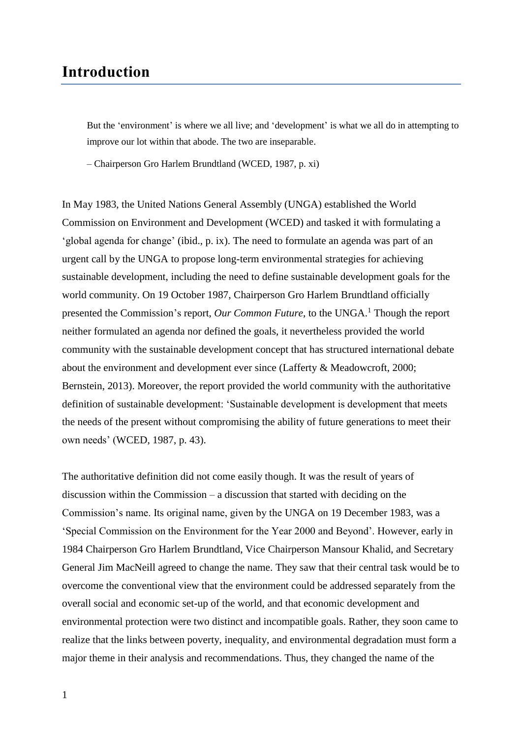## **Introduction**

But the 'environment' is where we all live; and 'development' is what we all do in attempting to improve our lot within that abode. The two are inseparable.

– Chairperson Gro Harlem Brundtland (WCED, 1987, p. xi)

In May 1983, the United Nations General Assembly (UNGA) established the World Commission on Environment and Development (WCED) and tasked it with formulating a 'global agenda for change' (ibid., p. ix). The need to formulate an agenda was part of an urgent call by the UNGA to propose long-term environmental strategies for achieving sustainable development, including the need to define sustainable development goals for the world community. On 19 October 1987, Chairperson Gro Harlem Brundtland officially presented the Commission's report, *Our Common Future*, to the UNGA. <sup>1</sup> Though the report neither formulated an agenda nor defined the goals, it nevertheless provided the world community with the sustainable development concept that has structured international debate about the environment and development ever since (Lafferty & Meadowcroft, 2000; Bernstein, 2013). Moreover, the report provided the world community with the authoritative definition of sustainable development: 'Sustainable development is development that meets the needs of the present without compromising the ability of future generations to meet their own needs' (WCED, 1987, p. 43).

The authoritative definition did not come easily though. It was the result of years of discussion within the Commission – a discussion that started with deciding on the Commission's name. Its original name, given by the UNGA on 19 December 1983, was a 'Special Commission on the Environment for the Year 2000 and Beyond'. However, early in 1984 Chairperson Gro Harlem Brundtland, Vice Chairperson Mansour Khalid, and Secretary General Jim MacNeill agreed to change the name. They saw that their central task would be to overcome the conventional view that the environment could be addressed separately from the overall social and economic set-up of the world, and that economic development and environmental protection were two distinct and incompatible goals. Rather, they soon came to realize that the links between poverty, inequality, and environmental degradation must form a major theme in their analysis and recommendations. Thus, they changed the name of the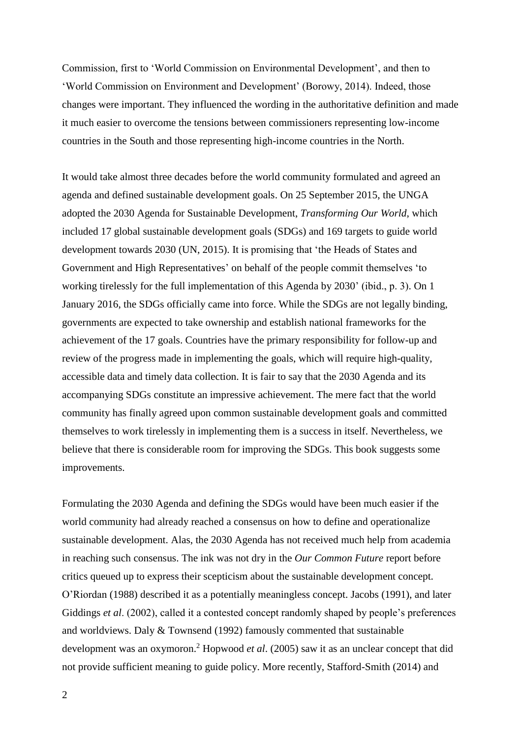Commission, first to 'World Commission on Environmental Development', and then to 'World Commission on Environment and Development' (Borowy, 2014). Indeed, those changes were important. They influenced the wording in the authoritative definition and made it much easier to overcome the tensions between commissioners representing low-income countries in the South and those representing high-income countries in the North.

It would take almost three decades before the world community formulated and agreed an agenda and defined sustainable development goals. On 25 September 2015, the UNGA adopted the 2030 Agenda for Sustainable Development, *Transforming Our World*, which included 17 global sustainable development goals (SDGs) and 169 targets to guide world development towards 2030 (UN, 2015). It is promising that 'the Heads of States and Government and High Representatives' on behalf of the people commit themselves 'to working tirelessly for the full implementation of this Agenda by 2030' (ibid., p. 3). On 1 January 2016, the SDGs officially came into force. While the SDGs are not legally binding, governments are expected to take ownership and establish national frameworks for the achievement of the 17 goals. Countries have the primary responsibility for follow-up and review of the progress made in implementing the goals, which will require high-quality, accessible data and timely data collection. It is fair to say that the 2030 Agenda and its accompanying SDGs constitute an impressive achievement. The mere fact that the world community has finally agreed upon common sustainable development goals and committed themselves to work tirelessly in implementing them is a success in itself. Nevertheless, we believe that there is considerable room for improving the SDGs. This book suggests some improvements.

Formulating the 2030 Agenda and defining the SDGs would have been much easier if the world community had already reached a consensus on how to define and operationalize sustainable development. Alas, the 2030 Agenda has not received much help from academia in reaching such consensus. The ink was not dry in the *Our Common Future* report before critics queued up to express their scepticism about the sustainable development concept. O'Riordan (1988) described it as a potentially meaningless concept. Jacobs (1991), and later Giddings *et al*. (2002), called it a contested concept randomly shaped by people's preferences and worldviews. Daly & Townsend (1992) famously commented that sustainable development was an oxymoron. <sup>2</sup> Hopwood *et al*. (2005) saw it as an unclear concept that did not provide sufficient meaning to guide policy. More recently, Stafford-Smith (2014) and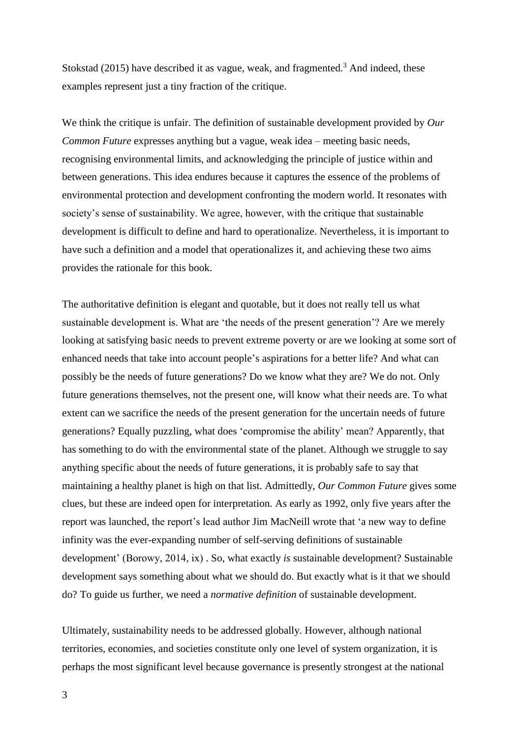Stokstad (2015) have described it as vague, weak, and fragmented.<sup>3</sup> And indeed, these examples represent just a tiny fraction of the critique.

We think the critique is unfair. The definition of sustainable development provided by *Our Common Future* expresses anything but a vague, weak idea – meeting basic needs, recognising environmental limits, and acknowledging the principle of justice within and between generations. This idea endures because it captures the essence of the problems of environmental protection and development confronting the modern world. It resonates with society's sense of sustainability. We agree, however, with the critique that sustainable development is difficult to define and hard to operationalize. Nevertheless, it is important to have such a definition and a model that operationalizes it, and achieving these two aims provides the rationale for this book.

The authoritative definition is elegant and quotable, but it does not really tell us what sustainable development is. What are 'the needs of the present generation'? Are we merely looking at satisfying basic needs to prevent extreme poverty or are we looking at some sort of enhanced needs that take into account people's aspirations for a better life? And what can possibly be the needs of future generations? Do we know what they are? We do not. Only future generations themselves, not the present one, will know what their needs are. To what extent can we sacrifice the needs of the present generation for the uncertain needs of future generations? Equally puzzling, what does 'compromise the ability' mean? Apparently, that has something to do with the environmental state of the planet. Although we struggle to say anything specific about the needs of future generations, it is probably safe to say that maintaining a healthy planet is high on that list. Admittedly, *Our Common Future* gives some clues, but these are indeed open for interpretation. As early as 1992, only five years after the report was launched, the report's lead author Jim MacNeill wrote that 'a new way to define infinity was the ever-expanding number of self-serving definitions of sustainable development' (Borowy, 2014, ix) . So, what exactly *is* sustainable development? Sustainable development says something about what we should do. But exactly what is it that we should do? To guide us further, we need a *normative definition* of sustainable development.

Ultimately, sustainability needs to be addressed globally. However, although national territories, economies, and societies constitute only one level of system organization, it is perhaps the most significant level because governance is presently strongest at the national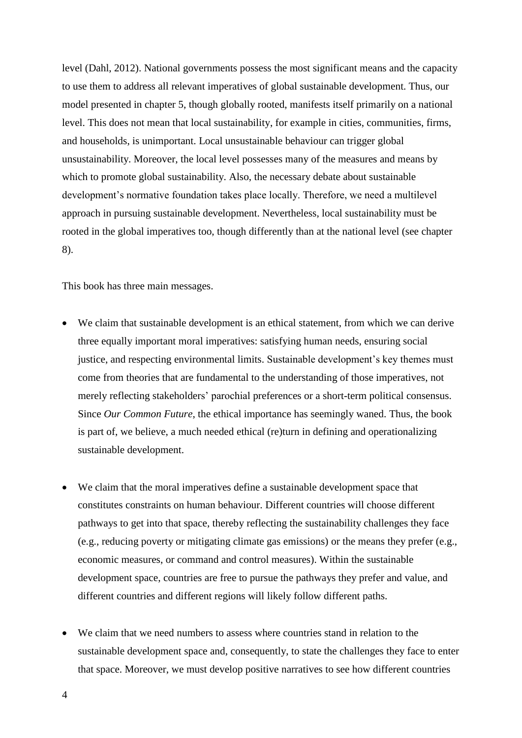level (Dahl, 2012). National governments possess the most significant means and the capacity to use them to address all relevant imperatives of global sustainable development. Thus, our model presented in chapter 5, though globally rooted, manifests itself primarily on a national level. This does not mean that local sustainability, for example in cities, communities, firms, and households, is unimportant. Local unsustainable behaviour can trigger global unsustainability. Moreover, the local level possesses many of the measures and means by which to promote global sustainability. Also, the necessary debate about sustainable development's normative foundation takes place locally. Therefore, we need a multilevel approach in pursuing sustainable development. Nevertheless, local sustainability must be rooted in the global imperatives too, though differently than at the national level (see chapter 8).

This book has three main messages.

- We claim that sustainable development is an ethical statement, from which we can derive three equally important moral imperatives: satisfying human needs, ensuring social justice, and respecting environmental limits. Sustainable development's key themes must come from theories that are fundamental to the understanding of those imperatives, not merely reflecting stakeholders' parochial preferences or a short-term political consensus. Since *Our Common Future*, the ethical importance has seemingly waned. Thus, the book is part of, we believe, a much needed ethical (re)turn in defining and operationalizing sustainable development.
- We claim that the moral imperatives define a sustainable development space that constitutes constraints on human behaviour. Different countries will choose different pathways to get into that space, thereby reflecting the sustainability challenges they face (e.g., reducing poverty or mitigating climate gas emissions) or the means they prefer (e.g., economic measures, or command and control measures). Within the sustainable development space, countries are free to pursue the pathways they prefer and value, and different countries and different regions will likely follow different paths.
- We claim that we need numbers to assess where countries stand in relation to the sustainable development space and, consequently, to state the challenges they face to enter that space. Moreover, we must develop positive narratives to see how different countries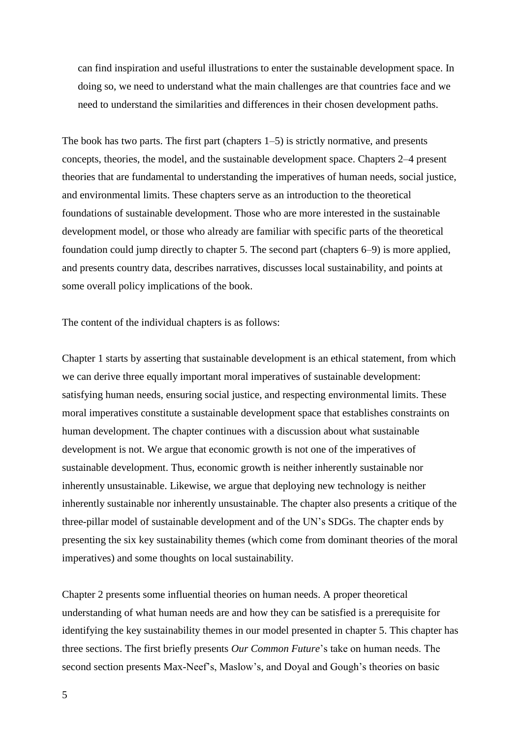can find inspiration and useful illustrations to enter the sustainable development space. In doing so, we need to understand what the main challenges are that countries face and we need to understand the similarities and differences in their chosen development paths.

The book has two parts. The first part (chapters 1–5) is strictly normative, and presents concepts, theories, the model, and the sustainable development space. Chapters 2–4 present theories that are fundamental to understanding the imperatives of human needs, social justice, and environmental limits. These chapters serve as an introduction to the theoretical foundations of sustainable development. Those who are more interested in the sustainable development model, or those who already are familiar with specific parts of the theoretical foundation could jump directly to chapter 5. The second part (chapters 6–9) is more applied, and presents country data, describes narratives, discusses local sustainability, and points at some overall policy implications of the book.

The content of the individual chapters is as follows:

Chapter 1 starts by asserting that sustainable development is an ethical statement, from which we can derive three equally important moral imperatives of sustainable development: satisfying human needs, ensuring social justice, and respecting environmental limits. These moral imperatives constitute a sustainable development space that establishes constraints on human development. The chapter continues with a discussion about what sustainable development is not. We argue that economic growth is not one of the imperatives of sustainable development. Thus, economic growth is neither inherently sustainable nor inherently unsustainable. Likewise, we argue that deploying new technology is neither inherently sustainable nor inherently unsustainable. The chapter also presents a critique of the three-pillar model of sustainable development and of the UN's SDGs. The chapter ends by presenting the six key sustainability themes (which come from dominant theories of the moral imperatives) and some thoughts on local sustainability.

Chapter 2 presents some influential theories on human needs. A proper theoretical understanding of what human needs are and how they can be satisfied is a prerequisite for identifying the key sustainability themes in our model presented in chapter 5. This chapter has three sections. The first briefly presents *Our Common Future*'s take on human needs. The second section presents Max-Neef's, Maslow's, and Doyal and Gough's theories on basic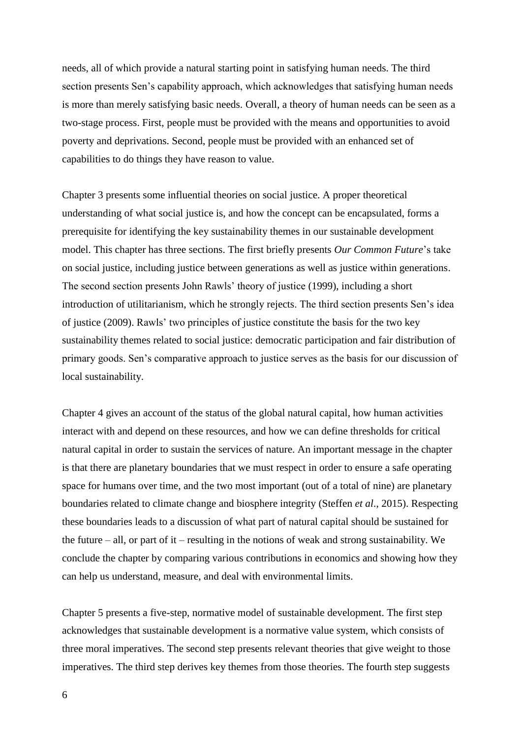needs, all of which provide a natural starting point in satisfying human needs. The third section presents Sen's capability approach, which acknowledges that satisfying human needs is more than merely satisfying basic needs. Overall, a theory of human needs can be seen as a two-stage process. First, people must be provided with the means and opportunities to avoid poverty and deprivations. Second, people must be provided with an enhanced set of capabilities to do things they have reason to value.

Chapter 3 presents some influential theories on social justice. A proper theoretical understanding of what social justice is, and how the concept can be encapsulated, forms a prerequisite for identifying the key sustainability themes in our sustainable development model. This chapter has three sections. The first briefly presents *Our Common Future*'s take on social justice, including justice between generations as well as justice within generations. The second section presents John Rawls' theory of justice (1999), including a short introduction of utilitarianism, which he strongly rejects. The third section presents Sen's idea of justice (2009). Rawls' two principles of justice constitute the basis for the two key sustainability themes related to social justice: democratic participation and fair distribution of primary goods. Sen's comparative approach to justice serves as the basis for our discussion of local sustainability.

Chapter 4 gives an account of the status of the global natural capital, how human activities interact with and depend on these resources, and how we can define thresholds for critical natural capital in order to sustain the services of nature. An important message in the chapter is that there are planetary boundaries that we must respect in order to ensure a safe operating space for humans over time, and the two most important (out of a total of nine) are planetary boundaries related to climate change and biosphere integrity (Steffen *et al*., 2015). Respecting these boundaries leads to a discussion of what part of natural capital should be sustained for the future – all, or part of it – resulting in the notions of weak and strong sustainability. We conclude the chapter by comparing various contributions in economics and showing how they can help us understand, measure, and deal with environmental limits.

Chapter 5 presents a five-step, normative model of sustainable development. The first step acknowledges that sustainable development is a normative value system, which consists of three moral imperatives. The second step presents relevant theories that give weight to those imperatives. The third step derives key themes from those theories. The fourth step suggests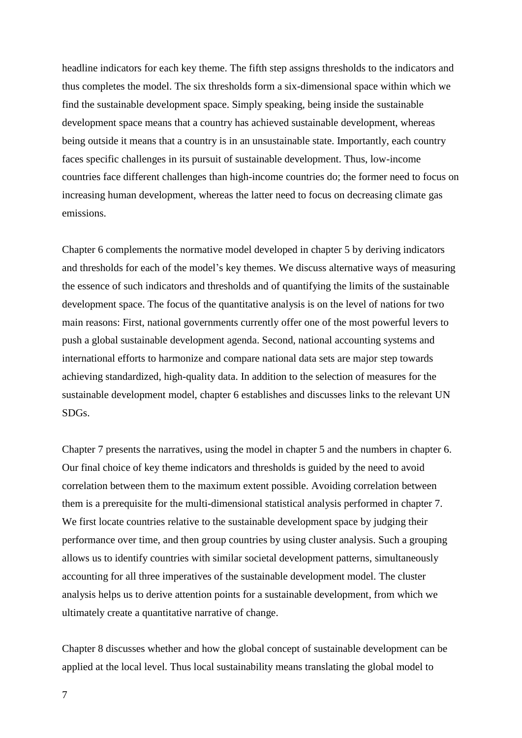headline indicators for each key theme. The fifth step assigns thresholds to the indicators and thus completes the model. The six thresholds form a six-dimensional space within which we find the sustainable development space. Simply speaking, being inside the sustainable development space means that a country has achieved sustainable development, whereas being outside it means that a country is in an unsustainable state. Importantly, each country faces specific challenges in its pursuit of sustainable development. Thus, low-income countries face different challenges than high-income countries do; the former need to focus on increasing human development, whereas the latter need to focus on decreasing climate gas emissions.

Chapter 6 complements the normative model developed in chapter 5 by deriving indicators and thresholds for each of the model's key themes. We discuss alternative ways of measuring the essence of such indicators and thresholds and of quantifying the limits of the sustainable development space. The focus of the quantitative analysis is on the level of nations for two main reasons: First, national governments currently offer one of the most powerful levers to push a global sustainable development agenda. Second, national accounting systems and international efforts to harmonize and compare national data sets are major step towards achieving standardized, high-quality data. In addition to the selection of measures for the sustainable development model, chapter 6 establishes and discusses links to the relevant UN SDGs.

Chapter 7 presents the narratives, using the model in chapter 5 and the numbers in chapter 6. Our final choice of key theme indicators and thresholds is guided by the need to avoid correlation between them to the maximum extent possible. Avoiding correlation between them is a prerequisite for the multi-dimensional statistical analysis performed in chapter 7. We first locate countries relative to the sustainable development space by judging their performance over time, and then group countries by using cluster analysis. Such a grouping allows us to identify countries with similar societal development patterns, simultaneously accounting for all three imperatives of the sustainable development model. The cluster analysis helps us to derive attention points for a sustainable development, from which we ultimately create a quantitative narrative of change.

Chapter 8 discusses whether and how the global concept of sustainable development can be applied at the local level. Thus local sustainability means translating the global model to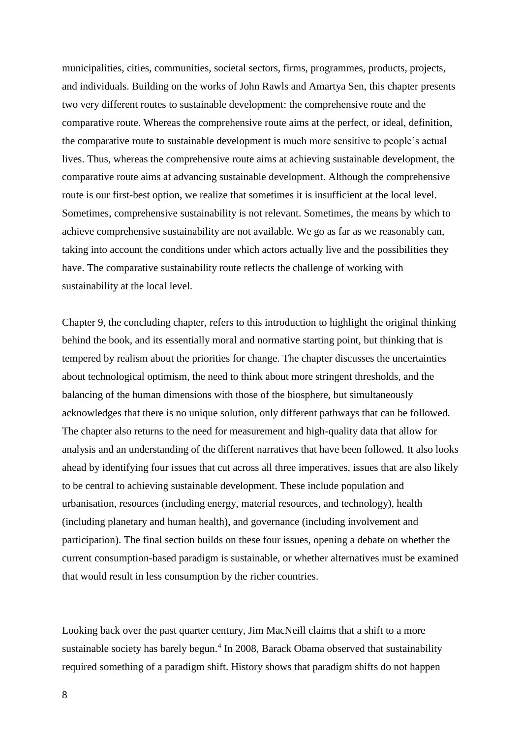municipalities, cities, communities, societal sectors, firms, programmes, products, projects, and individuals. Building on the works of John Rawls and Amartya Sen, this chapter presents two very different routes to sustainable development: the comprehensive route and the comparative route. Whereas the comprehensive route aims at the perfect, or ideal, definition, the comparative route to sustainable development is much more sensitive to people's actual lives. Thus, whereas the comprehensive route aims at achieving sustainable development, the comparative route aims at advancing sustainable development. Although the comprehensive route is our first-best option, we realize that sometimes it is insufficient at the local level. Sometimes, comprehensive sustainability is not relevant. Sometimes, the means by which to achieve comprehensive sustainability are not available. We go as far as we reasonably can, taking into account the conditions under which actors actually live and the possibilities they have. The comparative sustainability route reflects the challenge of working with sustainability at the local level.

Chapter 9, the concluding chapter, refers to this introduction to highlight the original thinking behind the book, and its essentially moral and normative starting point, but thinking that is tempered by realism about the priorities for change. The chapter discusses the uncertainties about technological optimism, the need to think about more stringent thresholds, and the balancing of the human dimensions with those of the biosphere, but simultaneously acknowledges that there is no unique solution, only different pathways that can be followed. The chapter also returns to the need for measurement and high-quality data that allow for analysis and an understanding of the different narratives that have been followed. It also looks ahead by identifying four issues that cut across all three imperatives, issues that are also likely to be central to achieving sustainable development. These include population and urbanisation, resources (including energy, material resources, and technology), health (including planetary and human health), and governance (including involvement and participation). The final section builds on these four issues, opening a debate on whether the current consumption-based paradigm is sustainable, or whether alternatives must be examined that would result in less consumption by the richer countries.

Looking back over the past quarter century, Jim MacNeill claims that a shift to a more sustainable society has barely begun. $4$  In 2008, Barack Obama observed that sustainability required something of a paradigm shift. History shows that paradigm shifts do not happen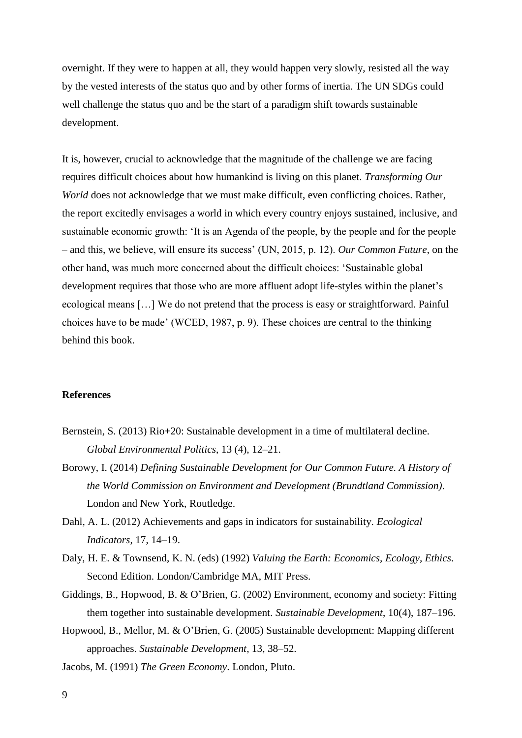overnight. If they were to happen at all, they would happen very slowly, resisted all the way by the vested interests of the status quo and by other forms of inertia. The UN SDGs could well challenge the status quo and be the start of a paradigm shift towards sustainable development.

It is, however, crucial to acknowledge that the magnitude of the challenge we are facing requires difficult choices about how humankind is living on this planet. *Transforming Our World* does not acknowledge that we must make difficult, even conflicting choices. Rather, the report excitedly envisages a world in which every country enjoys sustained, inclusive, and sustainable economic growth: 'It is an Agenda of the people, by the people and for the people – and this, we believe, will ensure its success' (UN, 2015, p. 12). *Our Common Future*, on the other hand, was much more concerned about the difficult choices: 'Sustainable global development requires that those who are more affluent adopt life-styles within the planet's ecological means […] We do not pretend that the process is easy or straightforward. Painful choices have to be made' (WCED, 1987, p. 9). These choices are central to the thinking behind this book.

## **References**

- Bernstein, S. (2013) Rio+20: Sustainable development in a time of multilateral decline. *Global Environmental Politics*, 13 (4), 12–21.
- Borowy, I. (2014) *Defining Sustainable Development for Our Common Future. A History of the World Commission on Environment and Development (Brundtland Commission)*. London and New York, Routledge.
- Dahl, A. L. (2012) Achievements and gaps in indicators for sustainability. *Ecological Indicators*, 17, 14–19.
- Daly, H. E. & Townsend, K. N. (eds) (1992) *Valuing the Earth: Economics, Ecology, Ethics*. Second Edition. London/Cambridge MA, MIT Press.
- Giddings, B., Hopwood, B. & O'Brien, G. (2002) Environment, economy and society: Fitting them together into sustainable development. *Sustainable Development*, 10(4), 187–196.
- Hopwood, B., Mellor, M. & O'Brien, G. (2005) Sustainable development: Mapping different approaches. *Sustainable Development*, 13, 38–52.
- Jacobs, M. (1991) *The Green Economy*. London, Pluto.